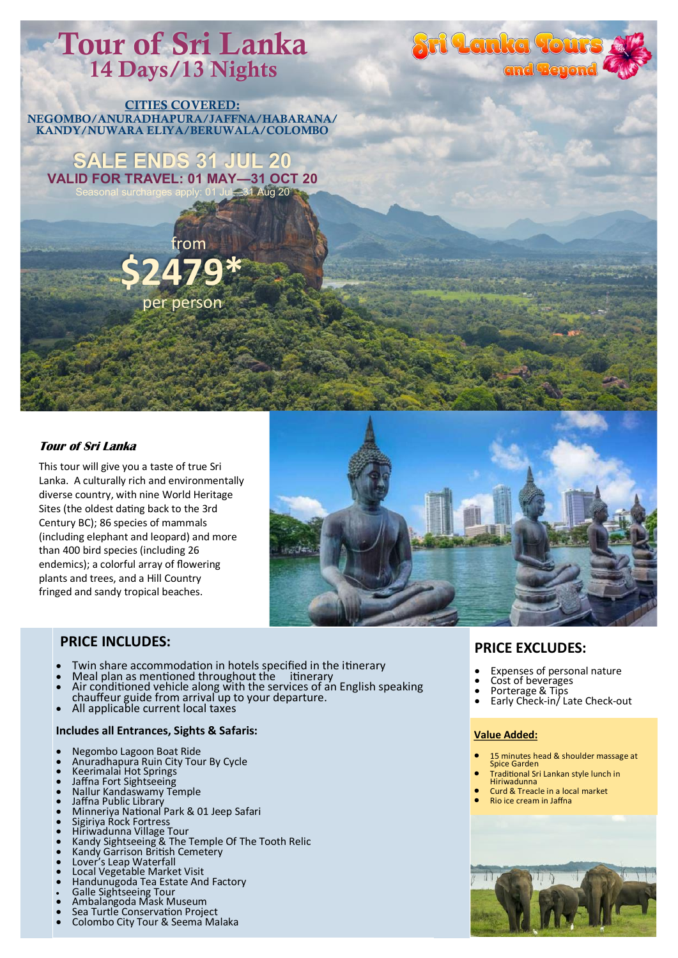# Tour of Sri Lanka 14 Days/13 Nights

CITIES COVERED: NEGOMBO/ANURADHAPURA/JAFFNA/HABARANA/ KANDY/NUWARA ELIYA/BERUWALA/COLOMBO



 from **\$2479\***  per person

# **Tour of Sri Lanka**

This tour will give you a taste of true Sri Lanka. A culturally rich and environmentally diverse country, with nine World Heritage Sites (the oldest dating back to the 3rd Century BC); 86 species of mammals (including elephant and leopard) and more than 400 bird species (including 26 endemics); a colorful array of flowering plants and trees, and a Hill Country fringed and sandy tropical beaches.



**Sri Lenke Tour** 

and Beyond

# **PRICE INCLUDES:**

- Twin share accommodation in hotels specified in the itinerary
- Meal plan as mentioned throughout the itinerary
- Air conditioned vehicle along with the services of an English speaking chauffeur guide from arrival up to your departure.
- All applicable current local taxes

## **Includes all Entrances, Sights & Safaris:**

- Negombo Lagoon Boat Ride
- Anuradhapura Ruin City Tour By Cycle
- Keerimalai Hot Springs
- Jaffna Fort Sightseeing
- Nallur Kandaswamy Temple • Jaffna Public Library
- Minneriya National Park & 01 Jeep Safari
- Sigiriya Rock Fortress
- Hiriwadunna Village Tour
- Kandy Sightseeing & The Temple Of The Tooth Relic
- Kandy Garrison British Cemetery
- Lover's Leap Waterfall
- Local Vegetable Market Visit
- Handunugoda Tea Estate And Factory
- Galle Sightseeing Tour Ambalangoda Mask Museum
- 
- Sea Turtle Conservation Project
- Colombo City Tour & Seema Malaka

# **PRICE EXCLUDES:**

- Expenses of personal nature
- Cost of beverages
- Porterage & Tips<br>• Farly Check-in/12
- Early Check-in/ Late Check-out

## **Value Added:**

- 15 minutes head & shoulder massage at Spice Garden
- Traditional Sri Lankan style lunch in Hiriwadunna
- Curd & Treacle in a local market
- Rio ice cream in Jaffna

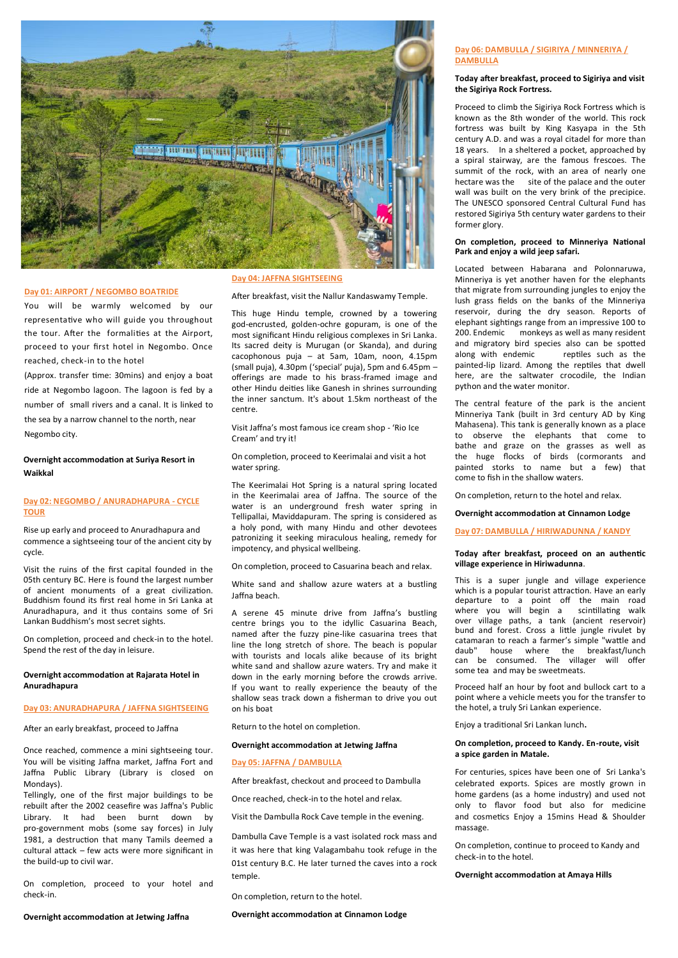

## **Day 01: AIRPORT / NEGOMBO BOATRIDE**

You will be warmly welcomed by our representative who will guide you throughout the tour. After the formalities at the Airport, proceed to your first hotel in Negombo. Once reached, check-in to the hotel

(Approx. transfer time: 30mins) and enjoy a boat ride at Negombo lagoon. The lagoon is fed by a number of small rivers and a canal. It is linked to the sea by a narrow channel to the north, near Negombo city.

## **Overnight accommodation at Suriya Resort in Waikkal**

## **Day 02: NEGOMBO / ANURADHAPURA - CYCLE TOUR**

Rise up early and proceed to Anuradhapura and commence a sightseeing tour of the ancient city by cycle.

Visit the ruins of the first capital founded in the 05th century BC. Here is found the largest number of ancient monuments of a great civilization. Buddhism found its first real home in Sri Lanka at Anuradhapura, and it thus contains some of Sri Lankan Buddhism's most secret sights.

On completion, proceed and check-in to the hotel. Spend the rest of the day in leisure.

### **Overnight accommodation at Rajarata Hotel in Anuradhapura**

## **Day 03: ANURADHAPURA / JAFFNA SIGHTSEEING**

After an early breakfast, proceed to Jaffna

Once reached, commence a mini sightseeing tour. You will be visiting Jaffna market, Jaffna Fort and Jaffna Public Library (Library is closed on Mondays).

Tellingly, one of the first major buildings to be rebuilt after the 2002 ceasefire was Jaffna's Public Library. It had been burnt down by pro-government mobs (some say forces) in July 1981, a destruction that many Tamils deemed a cultural attack – few acts were more significant in the build-up to civil war.

On completion, proceed to your hotel and check-in.

**Overnight accommodation at Jetwing Jaffna**

## **Day 04: JAFFNA SIGHTSEEING**

After breakfast, visit the Nallur Kandaswamy Temple.

This huge Hindu temple, crowned by a towering god-encrusted, golden-ochre gopuram, is one of the most significant Hindu religious complexes in Sri Lanka. Its sacred deity is Murugan (or Skanda), and during cacophonous puja – at 5am, 10am, noon, 4.15pm (small puja), 4.30pm ('special' puja), 5pm and 6.45pm – offerings are made to his brass-framed image and other Hindu deities like Ganesh in shrines surrounding the inner sanctum. It's about 1.5km northeast of the centre.

Visit Jaffna's most famous ice cream shop - 'Rio Ice Cream' and try it!

On completion, proceed to Keerimalai and visit a hot water spring.

The Keerimalai Hot Spring is a natural spring located in the Keerimalai area of Jaffna. The source of the water is an underground fresh water spring in Tellipallai, Maviddapuram. The spring is considered as a holy pond, with many Hindu and other devotees patronizing it seeking miraculous healing, remedy for impotency, and physical wellbeing.

On completion, proceed to Casuarina beach and relax.

White sand and shallow azure waters at a bustling Jaffna beach.

A serene 45 minute drive from Jaffna's bustling centre brings you to the idyllic Casuarina Beach, named after the fuzzy pine-like casuarina trees that line the long stretch of shore. The beach is popular with tourists and locals alike because of its bright white sand and shallow azure waters. Try and make it down in the early morning before the crowds arrive. If you want to really experience the beauty of the shallow seas track down a fisherman to drive you out on his boat

Return to the hotel on completion.

### **Overnight accommodation at Jetwing Jaffna**

#### **Day 05: JAFFNA / DAMBULLA**

After breakfast, checkout and proceed to Dambulla

Once reached, check-in to the hotel and relax.

Visit the Dambulla Rock Cave temple in the evening.

Dambulla Cave Temple is a vast isolated rock mass and it was here that king Valagambahu took refuge in the 01st century B.C. He later turned the caves into a rock temple.

On completion, return to the hotel.

**Overnight accommodation at Cinnamon Lodge**

## **Day 06: DAMBULLA / SIGIRIYA / MINNERIYA / DAMBULLA**

## **Today after breakfast, proceed to Sigiriya and visit the Sigiriya Rock Fortress.**

Proceed to climb the Sigiriya Rock Fortress which is known as the 8th wonder of the world. This rock fortress was built by King Kasyapa in the 5th century A.D. and was a royal citadel for more than 18 years. In a sheltered a pocket, approached by a spiral stairway, are the famous frescoes. The summit of the rock, with an area of nearly one hectare was the site of the palace and the outer wall was built on the very brink of the precipice. The UNESCO sponsored Central Cultural Fund has restored Sigiriya 5th century water gardens to their former glory.

#### **On completion, proceed to Minneriya National Park and enjoy a wild jeep safari.**

Located between Habarana and Polonnaruwa, Minneriya is yet another haven for the elephants that migrate from surrounding jungles to enjoy the lush grass fields on the banks of the Minneriya reservoir, during the dry season. Reports of elephant sightings range from an impressive 100 to 200. Endemic monkeys as well as many resident and migratory bird species also can be spotted along with endemic reptiles such as the painted-lip lizard. Among the reptiles that dwell here, are the saltwater crocodile, the Indian python and the water monitor.

The central feature of the park is the ancient Minneriya Tank (built in 3rd century AD by King Mahasena). This tank is generally known as a place to observe the elephants that come to bathe and graze on the grasses as well as the huge flocks of birds (cormorants and painted storks to name but a few) that come to fish in the shallow waters.

On completion, return to the hotel and relax.

**Overnight accommodation at Cinnamon Lodge**

## **Day 07: DAMBULLA / HIRIWADUNNA / KANDY**

#### **Today after breakfast, proceed on an authentic village experience in Hiriwadunna**.

This is a super jungle and village experience which is a popular tourist attraction. Have an early departure to a point off the main road where you will begin a scintillating walk over village paths, a tank (ancient reservoir) bund and forest. Cross a little jungle rivulet by catamaran to reach a farmer's simple "wattle and<br>daub" house where the breakfast/lunch where the breakfast/lunch can be consumed. The villager will offer some tea and may be sweetmeats.

Proceed half an hour by foot and bullock cart to a point where a vehicle meets you for the transfer to the hotel, a truly Sri Lankan experience.

Enjoy a traditional Sri Lankan lunch**.**

## **On completion, proceed to Kandy. En-route, visit a spice garden in Matale.**

For centuries, spices have been one of Sri Lanka's celebrated exports. Spices are mostly grown in home gardens (as a home industry) and used not only to flavor food but also for medicine and cosmetics Enjoy a 15mins Head & Shoulder massage.

On completion, continue to proceed to Kandy and check-in to the hotel.

**Overnight accommodation at Amaya Hills**